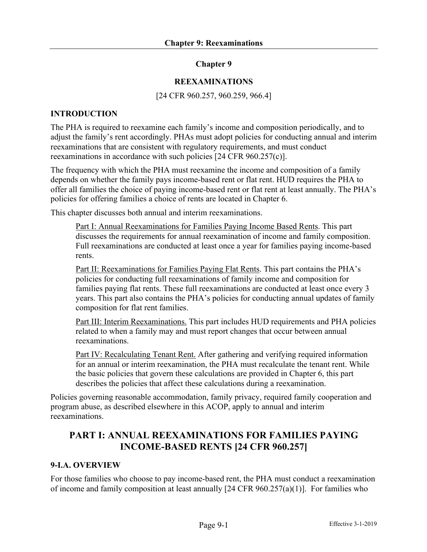### **Chapter 9**

#### **REEXAMINATIONS**

#### [24 CFR 960.257, 960.259, 966.4]

### **INTRODUCTION**

The PHA is required to reexamine each family's income and composition periodically, and to adjust the family's rent accordingly. PHAs must adopt policies for conducting annual and interim reexaminations that are consistent with regulatory requirements, and must conduct reexaminations in accordance with such policies [24 CFR 960.257(c)].

The frequency with which the PHA must reexamine the income and composition of a family depends on whether the family pays income-based rent or flat rent. HUD requires the PHA to offer all families the choice of paying income-based rent or flat rent at least annually. The PHA's policies for offering families a choice of rents are located in Chapter 6.

This chapter discusses both annual and interim reexaminations.

Part I: Annual Reexaminations for Families Paying Income Based Rents. This part discusses the requirements for annual reexamination of income and family composition. Full reexaminations are conducted at least once a year for families paying income-based rents.

Part II: Reexaminations for Families Paying Flat Rents. This part contains the PHA's policies for conducting full reexaminations of family income and composition for families paying flat rents. These full reexaminations are conducted at least once every 3 years. This part also contains the PHA's policies for conducting annual updates of family composition for flat rent families.

Part III: Interim Reexaminations. This part includes HUD requirements and PHA policies related to when a family may and must report changes that occur between annual reexaminations.

Part IV: Recalculating Tenant Rent. After gathering and verifying required information for an annual or interim reexamination, the PHA must recalculate the tenant rent. While the basic policies that govern these calculations are provided in Chapter 6, this part describes the policies that affect these calculations during a reexamination.

Policies governing reasonable accommodation, family privacy, required family cooperation and program abuse, as described elsewhere in this ACOP, apply to annual and interim reexaminations.

## **PART I: ANNUAL REEXAMINATIONS FOR FAMILIES PAYING INCOME-BASED RENTS [24 CFR 960.257]**

#### **9-I.A. OVERVIEW**

For those families who choose to pay income-based rent, the PHA must conduct a reexamination of income and family composition at least annually [24 CFR 960.257(a)(1)]. For families who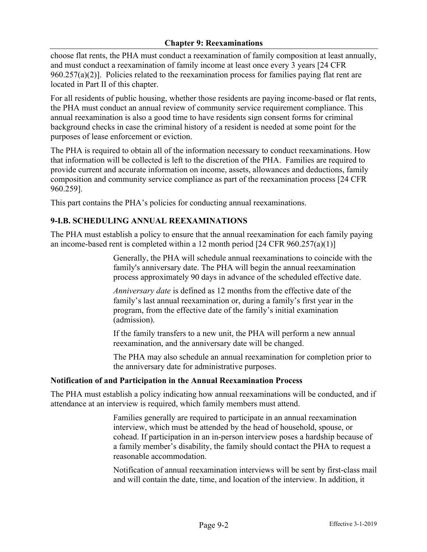choose flat rents, the PHA must conduct a reexamination of family composition at least annually, and must conduct a reexamination of family income at least once every 3 years [24 CFR  $960.257(a)(2)$ ]. Policies related to the reexamination process for families paying flat rent are located in Part II of this chapter.

For all residents of public housing, whether those residents are paying income-based or flat rents, the PHA must conduct an annual review of community service requirement compliance. This annual reexamination is also a good time to have residents sign consent forms for criminal background checks in case the criminal history of a resident is needed at some point for the purposes of lease enforcement or eviction.

The PHA is required to obtain all of the information necessary to conduct reexaminations. How that information will be collected is left to the discretion of the PHA. Families are required to provide current and accurate information on income, assets, allowances and deductions, family composition and community service compliance as part of the reexamination process [24 CFR 960.259].

This part contains the PHA's policies for conducting annual reexaminations.

## **9-I.B. SCHEDULING ANNUAL REEXAMINATIONS**

The PHA must establish a policy to ensure that the annual reexamination for each family paying an income-based rent is completed within a 12 month period [24 CFR 960.257(a)(1)]

> Generally, the PHA will schedule annual reexaminations to coincide with the family's anniversary date. The PHA will begin the annual reexamination process approximately 90 days in advance of the scheduled effective date.

*Anniversary date* is defined as 12 months from the effective date of the family's last annual reexamination or, during a family's first year in the program, from the effective date of the family's initial examination (admission).

If the family transfers to a new unit, the PHA will perform a new annual reexamination, and the anniversary date will be changed.

The PHA may also schedule an annual reexamination for completion prior to the anniversary date for administrative purposes.

## **Notification of and Participation in the Annual Reexamination Process**

The PHA must establish a policy indicating how annual reexaminations will be conducted, and if attendance at an interview is required, which family members must attend.

> Families generally are required to participate in an annual reexamination interview, which must be attended by the head of household, spouse, or cohead. If participation in an in-person interview poses a hardship because of a family member's disability, the family should contact the PHA to request a reasonable accommodation.

Notification of annual reexamination interviews will be sent by first-class mail and will contain the date, time, and location of the interview. In addition, it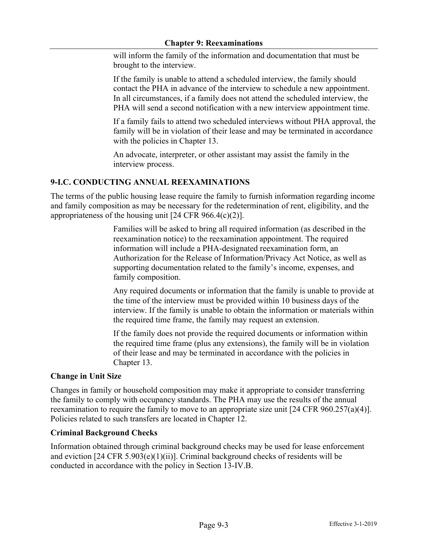will inform the family of the information and documentation that must be brought to the interview.

If the family is unable to attend a scheduled interview, the family should contact the PHA in advance of the interview to schedule a new appointment. In all circumstances, if a family does not attend the scheduled interview, the PHA will send a second notification with a new interview appointment time.

If a family fails to attend two scheduled interviews without PHA approval, the family will be in violation of their lease and may be terminated in accordance with the policies in Chapter 13.

An advocate, interpreter, or other assistant may assist the family in the interview process.

#### **9-I.C. CONDUCTING ANNUAL REEXAMINATIONS**

The terms of the public housing lease require the family to furnish information regarding income and family composition as may be necessary for the redetermination of rent, eligibility, and the appropriateness of the housing unit  $[24 \text{ CFR } 966.4(c)(2)].$ 

> Families will be asked to bring all required information (as described in the reexamination notice) to the reexamination appointment. The required information will include a PHA-designated reexamination form, an Authorization for the Release of Information/Privacy Act Notice, as well as supporting documentation related to the family's income, expenses, and family composition.

Any required documents or information that the family is unable to provide at the time of the interview must be provided within 10 business days of the interview. If the family is unable to obtain the information or materials within the required time frame, the family may request an extension.

If the family does not provide the required documents or information within the required time frame (plus any extensions), the family will be in violation of their lease and may be terminated in accordance with the policies in Chapter 13.

#### **Change in Unit Size**

Changes in family or household composition may make it appropriate to consider transferring the family to comply with occupancy standards. The PHA may use the results of the annual reexamination to require the family to move to an appropriate size unit [24 CFR 960.257(a)(4)]. Policies related to such transfers are located in Chapter 12.

#### **Criminal Background Checks**

Information obtained through criminal background checks may be used for lease enforcement and eviction [24 CFR 5.903(e)(1)(ii)]. Criminal background checks of residents will be conducted in accordance with the policy in Section 13-IV.B.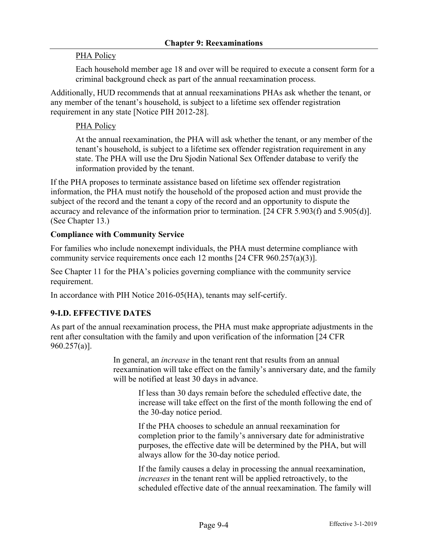#### PHA Policy

Each household member age 18 and over will be required to execute a consent form for a criminal background check as part of the annual reexamination process.

Additionally, HUD recommends that at annual reexaminations PHAs ask whether the tenant, or any member of the tenant's household, is subject to a lifetime sex offender registration requirement in any state [Notice PIH 2012-28].

#### PHA Policy

At the annual reexamination, the PHA will ask whether the tenant, or any member of the tenant's household, is subject to a lifetime sex offender registration requirement in any state. The PHA will use the Dru Sjodin National Sex Offender database to verify the information provided by the tenant.

If the PHA proposes to terminate assistance based on lifetime sex offender registration information, the PHA must notify the household of the proposed action and must provide the subject of the record and the tenant a copy of the record and an opportunity to dispute the accuracy and relevance of the information prior to termination. [24 CFR 5.903(f) and 5.905(d)]. (See Chapter 13.)

#### **Compliance with Community Service**

For families who include nonexempt individuals, the PHA must determine compliance with community service requirements once each 12 months [24 CFR 960.257(a)(3)].

See Chapter 11 for the PHA's policies governing compliance with the community service requirement.

In accordance with PIH Notice 2016-05(HA), tenants may self-certify.

#### **9-I.D. EFFECTIVE DATES**

As part of the annual reexamination process, the PHA must make appropriate adjustments in the rent after consultation with the family and upon verification of the information [24 CFR 960.257(a)].

> In general, an *increase* in the tenant rent that results from an annual reexamination will take effect on the family's anniversary date, and the family will be notified at least 30 days in advance.

If less than 30 days remain before the scheduled effective date, the increase will take effect on the first of the month following the end of the 30-day notice period.

If the PHA chooses to schedule an annual reexamination for completion prior to the family's anniversary date for administrative purposes, the effective date will be determined by the PHA, but will always allow for the 30-day notice period.

If the family causes a delay in processing the annual reexamination, *increases* in the tenant rent will be applied retroactively, to the scheduled effective date of the annual reexamination. The family will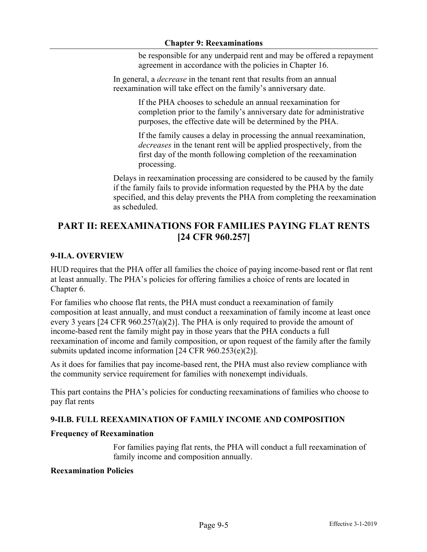be responsible for any underpaid rent and may be offered a repayment agreement in accordance with the policies in Chapter 16.

In general, a *decrease* in the tenant rent that results from an annual reexamination will take effect on the family's anniversary date.

> If the PHA chooses to schedule an annual reexamination for completion prior to the family's anniversary date for administrative purposes, the effective date will be determined by the PHA.

> If the family causes a delay in processing the annual reexamination, *decreases* in the tenant rent will be applied prospectively, from the first day of the month following completion of the reexamination processing.

Delays in reexamination processing are considered to be caused by the family if the family fails to provide information requested by the PHA by the date specified, and this delay prevents the PHA from completing the reexamination as scheduled.

# **PART II: REEXAMINATIONS FOR FAMILIES PAYING FLAT RENTS [24 CFR 960.257]**

## **9-II.A. OVERVIEW**

HUD requires that the PHA offer all families the choice of paying income-based rent or flat rent at least annually. The PHA's policies for offering families a choice of rents are located in Chapter 6.

For families who choose flat rents, the PHA must conduct a reexamination of family composition at least annually, and must conduct a reexamination of family income at least once every 3 years [24 CFR 960.257(a)(2)]. The PHA is only required to provide the amount of income-based rent the family might pay in those years that the PHA conducts a full reexamination of income and family composition, or upon request of the family after the family submits updated income information [24 CFR 960.253(e)(2)].

As it does for families that pay income-based rent, the PHA must also review compliance with the community service requirement for families with nonexempt individuals.

This part contains the PHA's policies for conducting reexaminations of families who choose to pay flat rents

## **9-II.B. FULL REEXAMINATION OF FAMILY INCOME AND COMPOSITION**

#### **Frequency of Reexamination**

For families paying flat rents, the PHA will conduct a full reexamination of family income and composition annually.

#### **Reexamination Policies**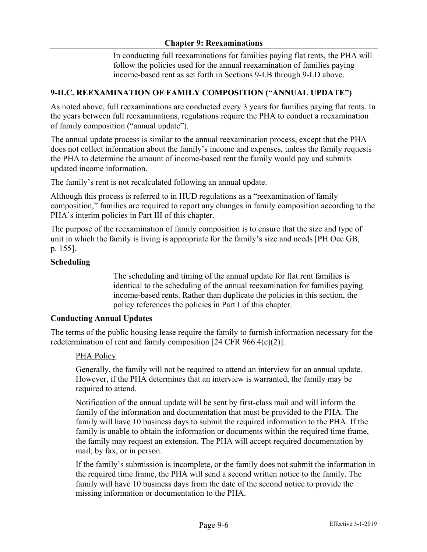In conducting full reexaminations for families paying flat rents, the PHA will follow the policies used for the annual reexamination of families paying income-based rent as set forth in Sections 9-I.B through 9-I.D above.

## **9-II.C. REEXAMINATION OF FAMILY COMPOSITION ("ANNUAL UPDATE")**

As noted above, full reexaminations are conducted every 3 years for families paying flat rents. In the years between full reexaminations, regulations require the PHA to conduct a reexamination of family composition ("annual update").

The annual update process is similar to the annual reexamination process, except that the PHA does not collect information about the family's income and expenses, unless the family requests the PHA to determine the amount of income-based rent the family would pay and submits updated income information.

The family's rent is not recalculated following an annual update.

Although this process is referred to in HUD regulations as a "reexamination of family composition," families are required to report any changes in family composition according to the PHA's interim policies in Part III of this chapter.

The purpose of the reexamination of family composition is to ensure that the size and type of unit in which the family is living is appropriate for the family's size and needs [PH Occ GB, p. 155].

#### **Scheduling**

The scheduling and timing of the annual update for flat rent families is identical to the scheduling of the annual reexamination for families paying income-based rents. Rather than duplicate the policies in this section, the policy references the policies in Part I of this chapter.

#### **Conducting Annual Updates**

The terms of the public housing lease require the family to furnish information necessary for the redetermination of rent and family composition [24 CFR 966.4(c)(2)].

#### PHA Policy

Generally, the family will not be required to attend an interview for an annual update. However, if the PHA determines that an interview is warranted, the family may be required to attend.

Notification of the annual update will be sent by first-class mail and will inform the family of the information and documentation that must be provided to the PHA. The family will have 10 business days to submit the required information to the PHA. If the family is unable to obtain the information or documents within the required time frame, the family may request an extension. The PHA will accept required documentation by mail, by fax, or in person.

If the family's submission is incomplete, or the family does not submit the information in the required time frame, the PHA will send a second written notice to the family. The family will have 10 business days from the date of the second notice to provide the missing information or documentation to the PHA.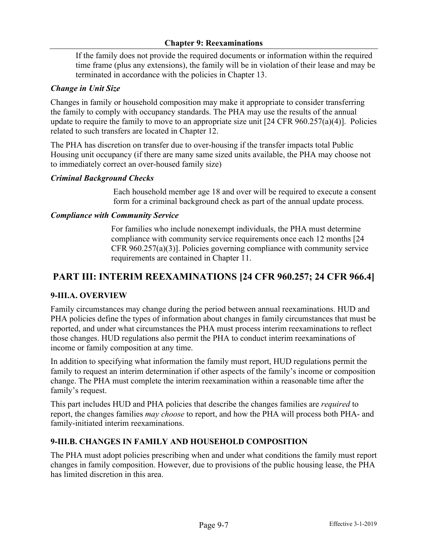If the family does not provide the required documents or information within the required time frame (plus any extensions), the family will be in violation of their lease and may be terminated in accordance with the policies in Chapter 13.

## *Change in Unit Size*

Changes in family or household composition may make it appropriate to consider transferring the family to comply with occupancy standards. The PHA may use the results of the annual update to require the family to move to an appropriate size unit [24 CFR 960.257(a)(4)]. Policies related to such transfers are located in Chapter 12.

The PHA has discretion on transfer due to over-housing if the transfer impacts total Public Housing unit occupancy (if there are many same sized units available, the PHA may choose not to immediately correct an over-housed family size)

## *Criminal Background Checks*

Each household member age 18 and over will be required to execute a consent form for a criminal background check as part of the annual update process.

## *Compliance with Community Service*

For families who include nonexempt individuals, the PHA must determine compliance with community service requirements once each 12 months [24 CFR 960.257(a)(3)]. Policies governing compliance with community service requirements are contained in Chapter 11.

# **PART III: INTERIM REEXAMINATIONS [24 CFR 960.257; 24 CFR 966.4]**

## **9-III.A. OVERVIEW**

Family circumstances may change during the period between annual reexaminations. HUD and PHA policies define the types of information about changes in family circumstances that must be reported, and under what circumstances the PHA must process interim reexaminations to reflect those changes. HUD regulations also permit the PHA to conduct interim reexaminations of income or family composition at any time.

In addition to specifying what information the family must report, HUD regulations permit the family to request an interim determination if other aspects of the family's income or composition change. The PHA must complete the interim reexamination within a reasonable time after the family's request.

This part includes HUD and PHA policies that describe the changes families are *required* to report, the changes families *may choose* to report, and how the PHA will process both PHA- and family-initiated interim reexaminations.

## **9-III.B. CHANGES IN FAMILY AND HOUSEHOLD COMPOSITION**

The PHA must adopt policies prescribing when and under what conditions the family must report changes in family composition. However, due to provisions of the public housing lease, the PHA has limited discretion in this area.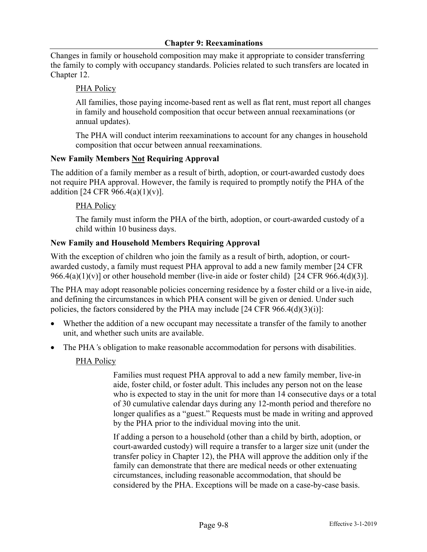Changes in family or household composition may make it appropriate to consider transferring the family to comply with occupancy standards. Policies related to such transfers are located in Chapter 12.

#### PHA Policy

All families, those paying income-based rent as well as flat rent, must report all changes in family and household composition that occur between annual reexaminations (or annual updates).

The PHA will conduct interim reexaminations to account for any changes in household composition that occur between annual reexaminations.

#### **New Family Members Not Requiring Approval**

The addition of a family member as a result of birth, adoption, or court-awarded custody does not require PHA approval. However, the family is required to promptly notify the PHA of the addition [24 CFR 966.4(a)(1)(v)].

#### PHA Policy

The family must inform the PHA of the birth, adoption, or court-awarded custody of a child within 10 business days.

#### **New Family and Household Members Requiring Approval**

With the exception of children who join the family as a result of birth, adoption, or courtawarded custody, a family must request PHA approval to add a new family member [24 CFR 966.4(a)(1)(v)] or other household member (live-in aide or foster child) [24 CFR 966.4(d)(3)].

The PHA may adopt reasonable policies concerning residence by a foster child or a live-in aide, and defining the circumstances in which PHA consent will be given or denied. Under such policies, the factors considered by the PHA may include  $[24 \text{ CFR } 966.4(d)(3)(i)]$ :

- Whether the addition of a new occupant may necessitate a transfer of the family to another unit, and whether such units are available.
- The PHA<sup>'s</sup> obligation to make reasonable accommodation for persons with disabilities.

## PHA Policy

Families must request PHA approval to add a new family member, live-in aide, foster child, or foster adult. This includes any person not on the lease who is expected to stay in the unit for more than 14 consecutive days or a total of 30 cumulative calendar days during any 12-month period and therefore no longer qualifies as a "guest." Requests must be made in writing and approved by the PHA prior to the individual moving into the unit.

If adding a person to a household (other than a child by birth, adoption, or court-awarded custody) will require a transfer to a larger size unit (under the transfer policy in Chapter 12), the PHA will approve the addition only if the family can demonstrate that there are medical needs or other extenuating circumstances, including reasonable accommodation, that should be considered by the PHA. Exceptions will be made on a case-by-case basis.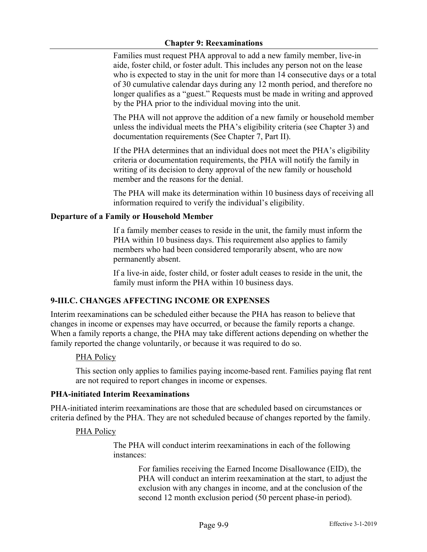Families must request PHA approval to add a new family member, live-in aide, foster child, or foster adult. This includes any person not on the lease who is expected to stay in the unit for more than 14 consecutive days or a total of 30 cumulative calendar days during any 12 month period, and therefore no longer qualifies as a "guest." Requests must be made in writing and approved by the PHA prior to the individual moving into the unit.

The PHA will not approve the addition of a new family or household member unless the individual meets the PHA's eligibility criteria (see Chapter 3) and documentation requirements (See Chapter 7, Part II).

If the PHA determines that an individual does not meet the PHA's eligibility criteria or documentation requirements, the PHA will notify the family in writing of its decision to deny approval of the new family or household member and the reasons for the denial.

The PHA will make its determination within 10 business days of receiving all information required to verify the individual's eligibility.

## **Departure of a Family or Household Member**

If a family member ceases to reside in the unit, the family must inform the PHA within 10 business days. This requirement also applies to family members who had been considered temporarily absent, who are now permanently absent.

If a live-in aide, foster child, or foster adult ceases to reside in the unit, the family must inform the PHA within 10 business days.

## **9-III.C. CHANGES AFFECTING INCOME OR EXPENSES**

Interim reexaminations can be scheduled either because the PHA has reason to believe that changes in income or expenses may have occurred, or because the family reports a change. When a family reports a change, the PHA may take different actions depending on whether the family reported the change voluntarily, or because it was required to do so.

## PHA Policy

This section only applies to families paying income-based rent. Families paying flat rent are not required to report changes in income or expenses.

#### **PHA-initiated Interim Reexaminations**

PHA-initiated interim reexaminations are those that are scheduled based on circumstances or criteria defined by the PHA. They are not scheduled because of changes reported by the family.

#### PHA Policy

The PHA will conduct interim reexaminations in each of the following instances:

> For families receiving the Earned Income Disallowance (EID), the PHA will conduct an interim reexamination at the start, to adjust the exclusion with any changes in income, and at the conclusion of the second 12 month exclusion period (50 percent phase-in period).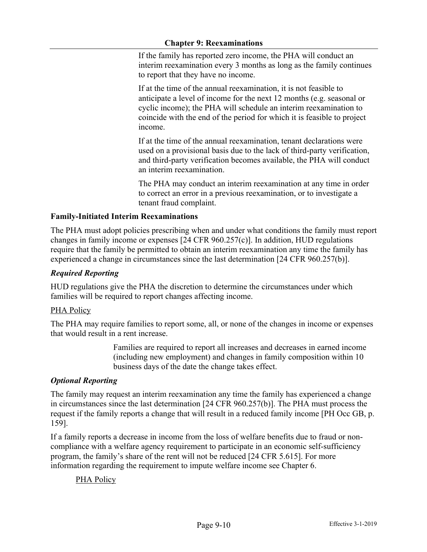If the family has reported zero income, the PHA will conduct an interim reexamination every 3 months as long as the family continues to report that they have no income.

If at the time of the annual reexamination, it is not feasible to anticipate a level of income for the next 12 months (e.g. seasonal or cyclic income); the PHA will schedule an interim reexamination to coincide with the end of the period for which it is feasible to project income.

If at the time of the annual reexamination, tenant declarations were used on a provisional basis due to the lack of third-party verification, and third-party verification becomes available, the PHA will conduct an interim reexamination.

The PHA may conduct an interim reexamination at any time in order to correct an error in a previous reexamination, or to investigate a tenant fraud complaint.

## **Family-Initiated Interim Reexaminations**

The PHA must adopt policies prescribing when and under what conditions the family must report changes in family income or expenses [24 CFR 960.257(c)]. In addition, HUD regulations require that the family be permitted to obtain an interim reexamination any time the family has experienced a change in circumstances since the last determination [24 CFR 960.257(b)].

## *Required Reporting*

HUD regulations give the PHA the discretion to determine the circumstances under which families will be required to report changes affecting income.

## **PHA Policy**

The PHA may require families to report some, all, or none of the changes in income or expenses that would result in a rent increase.

> Families are required to report all increases and decreases in earned income (including new employment) and changes in family composition within 10 business days of the date the change takes effect.

## *Optional Reporting*

The family may request an interim reexamination any time the family has experienced a change in circumstances since the last determination [24 CFR 960.257(b)]. The PHA must process the request if the family reports a change that will result in a reduced family income [PH Occ GB, p. 159].

If a family reports a decrease in income from the loss of welfare benefits due to fraud or noncompliance with a welfare agency requirement to participate in an economic self-sufficiency program, the family's share of the rent will not be reduced [24 CFR 5.615]. For more information regarding the requirement to impute welfare income see Chapter 6.

## PHA Policy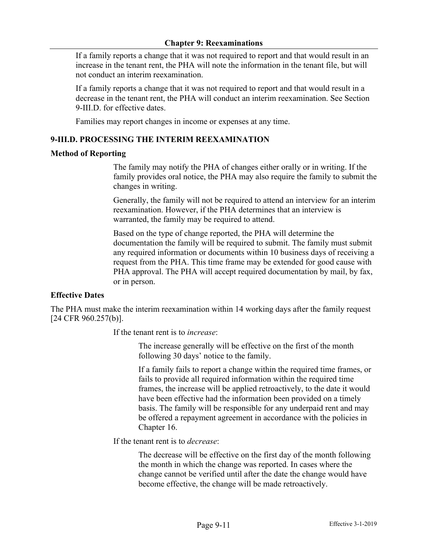If a family reports a change that it was not required to report and that would result in an increase in the tenant rent, the PHA will note the information in the tenant file, but will not conduct an interim reexamination.

If a family reports a change that it was not required to report and that would result in a decrease in the tenant rent, the PHA will conduct an interim reexamination. See Section 9-III.D. for effective dates.

Families may report changes in income or expenses at any time.

#### **9-III.D. PROCESSING THE INTERIM REEXAMINATION**

#### **Method of Reporting**

The family may notify the PHA of changes either orally or in writing. If the family provides oral notice, the PHA may also require the family to submit the changes in writing.

Generally, the family will not be required to attend an interview for an interim reexamination. However, if the PHA determines that an interview is warranted, the family may be required to attend.

Based on the type of change reported, the PHA will determine the documentation the family will be required to submit. The family must submit any required information or documents within 10 business days of receiving a request from the PHA. This time frame may be extended for good cause with PHA approval. The PHA will accept required documentation by mail, by fax, or in person.

#### **Effective Dates**

The PHA must make the interim reexamination within 14 working days after the family request [24 CFR 960.257(b)].

If the tenant rent is to *increase*:

The increase generally will be effective on the first of the month following 30 days' notice to the family.

If a family fails to report a change within the required time frames, or fails to provide all required information within the required time frames, the increase will be applied retroactively, to the date it would have been effective had the information been provided on a timely basis. The family will be responsible for any underpaid rent and may be offered a repayment agreement in accordance with the policies in Chapter 16.

If the tenant rent is to *decrease*:

The decrease will be effective on the first day of the month following the month in which the change was reported. In cases where the change cannot be verified until after the date the change would have become effective, the change will be made retroactively.